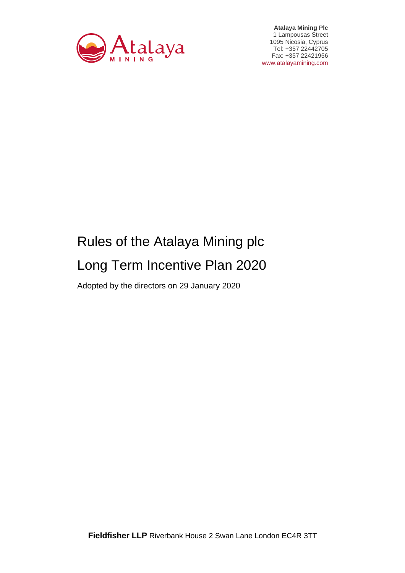

**Atalaya Mining Plc**  1 Lampousas Street 1095 Nicosia, Cyprus Tel: +357 22442705 Fax: +357 22421956 www.atalayamining.com

# Rules of the Atalaya Mining plc Long Term Incentive Plan 2020

Adopted by the directors on 29 January 2020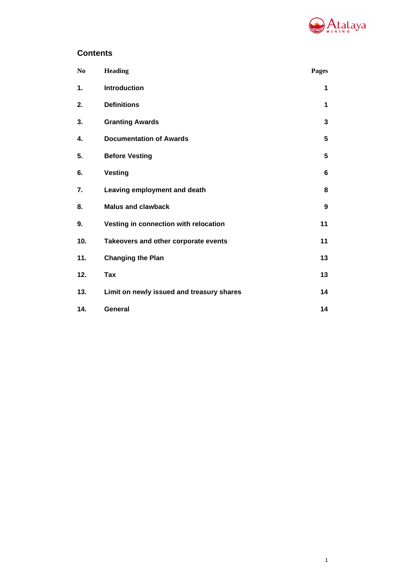

1

# **Contents**

| N <sub>0</sub> | <b>Heading</b>                            | Pages |
|----------------|-------------------------------------------|-------|
| 1.             | <b>Introduction</b>                       | 1     |
| 2.             | <b>Definitions</b>                        | 1     |
| 3.             | <b>Granting Awards</b>                    | 3     |
| 4.             | <b>Documentation of Awards</b>            | 5     |
| 5.             | <b>Before Vesting</b>                     | 5     |
| 6.             | <b>Vesting</b>                            | 6     |
| 7.             | Leaving employment and death              | 8     |
| 8.             | <b>Malus and clawback</b>                 | 9     |
| 9.             | Vesting in connection with relocation     | 11    |
| 10.            | Takeovers and other corporate events      | 11    |
| 11.            | <b>Changing the Plan</b>                  | 13    |
| 12.            | Tax                                       | 13    |
| 13.            | Limit on newly issued and treasury shares | 14    |
| 14.            | General                                   | 14    |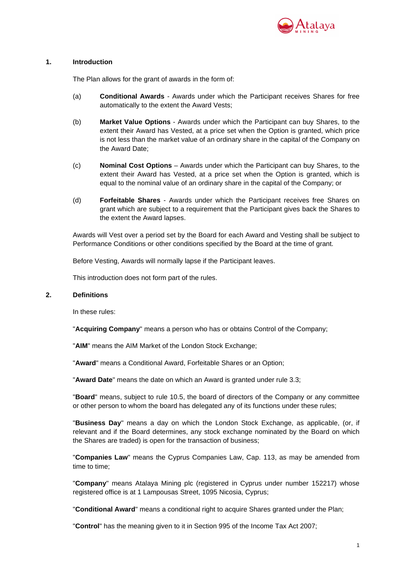

## **1. Introduction**

The Plan allows for the grant of awards in the form of:

- (a) **Conditional Awards** Awards under which the Participant receives Shares for free automatically to the extent the Award Vests;
- (b) **Market Value Options** Awards under which the Participant can buy Shares, to the extent their Award has Vested, at a price set when the Option is granted, which price is not less than the market value of an ordinary share in the capital of the Company on the Award Date;
- (c) **Nominal Cost Options** Awards under which the Participant can buy Shares, to the extent their Award has Vested, at a price set when the Option is granted, which is equal to the nominal value of an ordinary share in the capital of the Company; or
- (d) **Forfeitable Shares** Awards under which the Participant receives free Shares on grant which are subject to a requirement that the Participant gives back the Shares to the extent the Award lapses.

Awards will Vest over a period set by the Board for each Award and Vesting shall be subject to Performance Conditions or other conditions specified by the Board at the time of grant.

Before Vesting, Awards will normally lapse if the Participant leaves.

This introduction does not form part of the rules.

# **2. Definitions**

In these rules:

"**Acquiring Company**" means a person who has or obtains Control of the Company;

"**AIM**" means the AIM Market of the London Stock Exchange;

"**Award**" means a Conditional Award, Forfeitable Shares or an Option;

"**Award Date**" means the date on which an Award is granted under rule 3.3;

"**Board**" means, subject to rule 10.5, the board of directors of the Company or any committee or other person to whom the board has delegated any of its functions under these rules;

"**Business Day**" means a day on which the London Stock Exchange, as applicable, (or, if relevant and if the Board determines, any stock exchange nominated by the Board on which the Shares are traded) is open for the transaction of business;

"**Companies Law**" means the Cyprus Companies Law, Cap. 113, as may be amended from time to time;

"**Company**" means Atalaya Mining plc (registered in Cyprus under number 152217) whose registered office is at 1 Lampousas Street, 1095 Nicosia, Cyprus;

"**Conditional Award**" means a conditional right to acquire Shares granted under the Plan;

"**Control**" has the meaning given to it in Section 995 of the Income Tax Act 2007;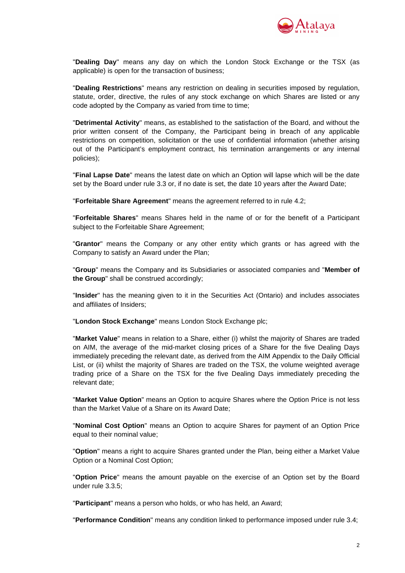

"**Dealing Day**" means any day on which the London Stock Exchange or the TSX (as applicable) is open for the transaction of business;

"**Dealing Restrictions**" means any restriction on dealing in securities imposed by regulation, statute, order, directive, the rules of any stock exchange on which Shares are listed or any code adopted by the Company as varied from time to time;

"**Detrimental Activity**" means, as established to the satisfaction of the Board, and without the prior written consent of the Company, the Participant being in breach of any applicable restrictions on competition, solicitation or the use of confidential information (whether arising out of the Participant's employment contract, his termination arrangements or any internal policies);

"**Final Lapse Date**" means the latest date on which an Option will lapse which will be the date set by the Board under rule 3.3 or, if no date is set, the date 10 years after the Award Date;

"**Forfeitable Share Agreement**" means the agreement referred to in rule 4.2;

"**Forfeitable Shares**" means Shares held in the name of or for the benefit of a Participant subject to the Forfeitable Share Agreement;

"**Grantor**" means the Company or any other entity which grants or has agreed with the Company to satisfy an Award under the Plan;

"**Group**" means the Company and its Subsidiaries or associated companies and "**Member of the Group**" shall be construed accordingly;

"**Insider**" has the meaning given to it in the Securities Act (Ontario) and includes associates and affiliates of Insiders;

"**London Stock Exchange**" means London Stock Exchange plc;

"**Market Value**" means in relation to a Share, either (i) whilst the majority of Shares are traded on AIM, the average of the mid-market closing prices of a Share for the five Dealing Days immediately preceding the relevant date, as derived from the AIM Appendix to the Daily Official List, or (ii) whilst the majority of Shares are traded on the TSX, the volume weighted average trading price of a Share on the TSX for the five Dealing Days immediately preceding the relevant date;

"**Market Value Option**" means an Option to acquire Shares where the Option Price is not less than the Market Value of a Share on its Award Date;

"**Nominal Cost Option**" means an Option to acquire Shares for payment of an Option Price equal to their nominal value;

"**Option**" means a right to acquire Shares granted under the Plan, being either a Market Value Option or a Nominal Cost Option;

"**Option Price**" means the amount payable on the exercise of an Option set by the Board under rule 3.3.5;

"**Participant**" means a person who holds, or who has held, an Award;

"**Performance Condition**" means any condition linked to performance imposed under rule 3.4;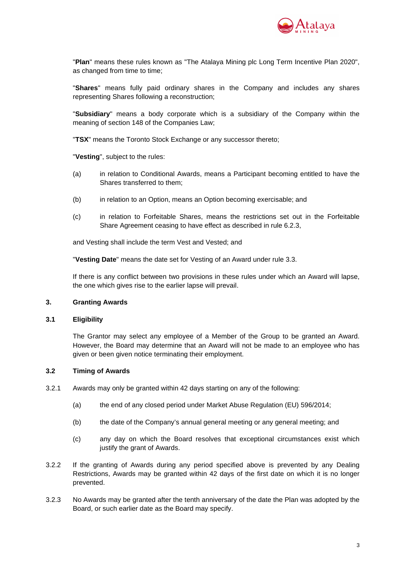

"**Plan**" means these rules known as "The Atalaya Mining plc Long Term Incentive Plan 2020", as changed from time to time;

"**Shares**" means fully paid ordinary shares in the Company and includes any shares representing Shares following a reconstruction;

"**Subsidiary**" means a body corporate which is a subsidiary of the Company within the meaning of section 148 of the Companies Law;

"**TSX**" means the Toronto Stock Exchange or any successor thereto;

"**Vesting**", subject to the rules:

- (a) in relation to Conditional Awards, means a Participant becoming entitled to have the Shares transferred to them;
- (b) in relation to an Option, means an Option becoming exercisable; and
- (c) in relation to Forfeitable Shares, means the restrictions set out in the Forfeitable Share Agreement ceasing to have effect as described in rule 6.2.3,

and Vesting shall include the term Vest and Vested; and

"**Vesting Date**" means the date set for Vesting of an Award under rule 3.3.

If there is any conflict between two provisions in these rules under which an Award will lapse, the one which gives rise to the earlier lapse will prevail.

# **3. Granting Awards**

#### **3.1 Eligibility**

The Grantor may select any employee of a Member of the Group to be granted an Award. However, the Board may determine that an Award will not be made to an employee who has given or been given notice terminating their employment.

# **3.2 Timing of Awards**

- 3.2.1 Awards may only be granted within 42 days starting on any of the following:
	- (a) the end of any closed period under Market Abuse Regulation (EU) 596/2014;
	- (b) the date of the Company's annual general meeting or any general meeting; and
	- (c) any day on which the Board resolves that exceptional circumstances exist which justify the grant of Awards.
- 3.2.2 If the granting of Awards during any period specified above is prevented by any Dealing Restrictions, Awards may be granted within 42 days of the first date on which it is no longer prevented.
- 3.2.3 No Awards may be granted after the tenth anniversary of the date the Plan was adopted by the Board, or such earlier date as the Board may specify.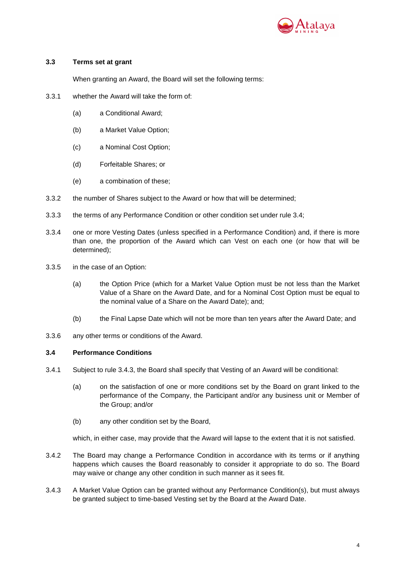

# **3.3 Terms set at grant**

When granting an Award, the Board will set the following terms:

- 3.3.1 whether the Award will take the form of:
	- (a) a Conditional Award;
	- (b) a Market Value Option;
	- (c) a Nominal Cost Option;
	- (d) Forfeitable Shares; or
	- (e) a combination of these;
- 3.3.2 the number of Shares subject to the Award or how that will be determined;
- 3.3.3 the terms of any Performance Condition or other condition set under rule 3.4;
- 3.3.4 one or more Vesting Dates (unless specified in a Performance Condition) and, if there is more than one, the proportion of the Award which can Vest on each one (or how that will be determined);
- 3.3.5 in the case of an Option:
	- (a) the Option Price (which for a Market Value Option must be not less than the Market Value of a Share on the Award Date, and for a Nominal Cost Option must be equal to the nominal value of a Share on the Award Date); and;
	- (b) the Final Lapse Date which will not be more than ten years after the Award Date; and
- 3.3.6 any other terms or conditions of the Award.

#### **3.4 Performance Conditions**

- 3.4.1 Subject to rule 3.4.3, the Board shall specify that Vesting of an Award will be conditional:
	- (a) on the satisfaction of one or more conditions set by the Board on grant linked to the performance of the Company, the Participant and/or any business unit or Member of the Group; and/or
	- (b) any other condition set by the Board,

which, in either case, may provide that the Award will lapse to the extent that it is not satisfied.

- 3.4.2 The Board may change a Performance Condition in accordance with its terms or if anything happens which causes the Board reasonably to consider it appropriate to do so. The Board may waive or change any other condition in such manner as it sees fit.
- 3.4.3 A Market Value Option can be granted without any Performance Condition(s), but must always be granted subject to time-based Vesting set by the Board at the Award Date.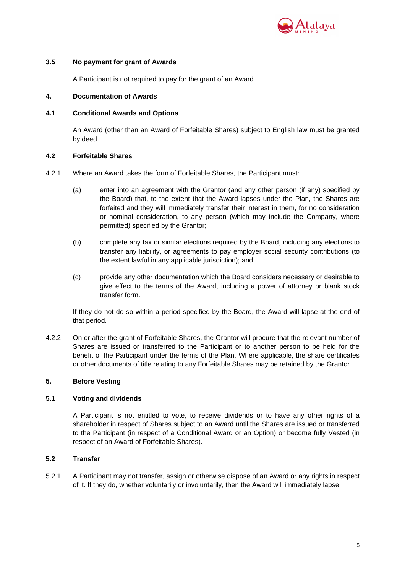

# **3.5 No payment for grant of Awards**

A Participant is not required to pay for the grant of an Award.

## **4. Documentation of Awards**

## **4.1 Conditional Awards and Options**

An Award (other than an Award of Forfeitable Shares) subject to English law must be granted by deed.

## **4.2 Forfeitable Shares**

- 4.2.1 Where an Award takes the form of Forfeitable Shares, the Participant must:
	- (a) enter into an agreement with the Grantor (and any other person (if any) specified by the Board) that, to the extent that the Award lapses under the Plan, the Shares are forfeited and they will immediately transfer their interest in them, for no consideration or nominal consideration, to any person (which may include the Company, where permitted) specified by the Grantor;
	- (b) complete any tax or similar elections required by the Board, including any elections to transfer any liability, or agreements to pay employer social security contributions (to the extent lawful in any applicable jurisdiction); and
	- (c) provide any other documentation which the Board considers necessary or desirable to give effect to the terms of the Award, including a power of attorney or blank stock transfer form.

If they do not do so within a period specified by the Board, the Award will lapse at the end of that period.

4.2.2 On or after the grant of Forfeitable Shares, the Grantor will procure that the relevant number of Shares are issued or transferred to the Participant or to another person to be held for the benefit of the Participant under the terms of the Plan. Where applicable, the share certificates or other documents of title relating to any Forfeitable Shares may be retained by the Grantor.

# **5. Before Vesting**

# **5.1 Voting and dividends**

A Participant is not entitled to vote, to receive dividends or to have any other rights of a shareholder in respect of Shares subject to an Award until the Shares are issued or transferred to the Participant (in respect of a Conditional Award or an Option) or become fully Vested (in respect of an Award of Forfeitable Shares).

# **5.2 Transfer**

5.2.1 A Participant may not transfer, assign or otherwise dispose of an Award or any rights in respect of it. If they do, whether voluntarily or involuntarily, then the Award will immediately lapse.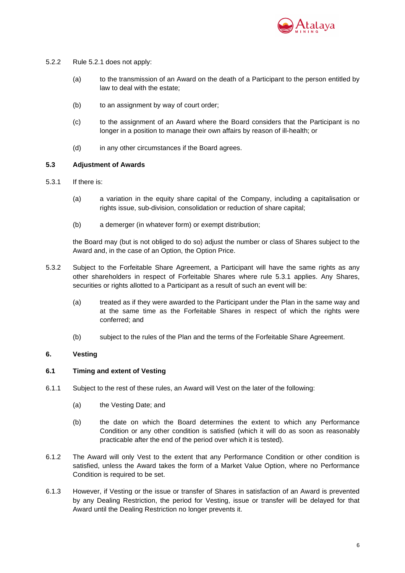

- 5.2.2 Rule 5.2.1 does not apply:
	- (a) to the transmission of an Award on the death of a Participant to the person entitled by law to deal with the estate;
	- (b) to an assignment by way of court order:
	- (c) to the assignment of an Award where the Board considers that the Participant is no longer in a position to manage their own affairs by reason of ill-health; or
	- (d) in any other circumstances if the Board agrees.

## **5.3 Adjustment of Awards**

- 5.3.1 If there is:
	- (a) a variation in the equity share capital of the Company, including a capitalisation or rights issue, sub-division, consolidation or reduction of share capital;
	- (b) a demerger (in whatever form) or exempt distribution;

the Board may (but is not obliged to do so) adjust the number or class of Shares subject to the Award and, in the case of an Option, the Option Price.

- 5.3.2 Subject to the Forfeitable Share Agreement, a Participant will have the same rights as any other shareholders in respect of Forfeitable Shares where rule 5.3.1 applies. Any Shares, securities or rights allotted to a Participant as a result of such an event will be:
	- (a) treated as if they were awarded to the Participant under the Plan in the same way and at the same time as the Forfeitable Shares in respect of which the rights were conferred; and
	- (b) subject to the rules of the Plan and the terms of the Forfeitable Share Agreement.

# **6. Vesting**

#### **6.1 Timing and extent of Vesting**

- 6.1.1 Subject to the rest of these rules, an Award will Vest on the later of the following:
	- (a) the Vesting Date; and
	- (b) the date on which the Board determines the extent to which any Performance Condition or any other condition is satisfied (which it will do as soon as reasonably practicable after the end of the period over which it is tested).
- 6.1.2 The Award will only Vest to the extent that any Performance Condition or other condition is satisfied, unless the Award takes the form of a Market Value Option, where no Performance Condition is required to be set.
- 6.1.3 However, if Vesting or the issue or transfer of Shares in satisfaction of an Award is prevented by any Dealing Restriction, the period for Vesting, issue or transfer will be delayed for that Award until the Dealing Restriction no longer prevents it.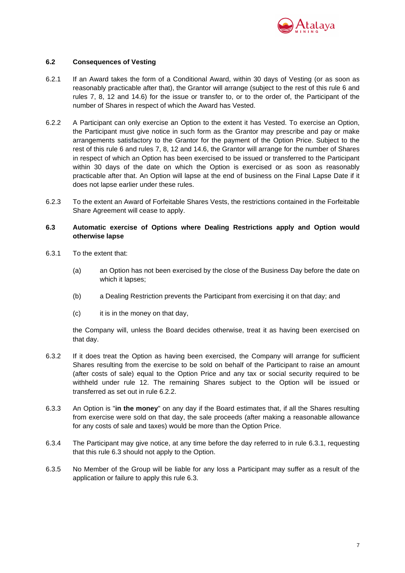

# **6.2 Consequences of Vesting**

- 6.2.1 If an Award takes the form of a Conditional Award, within 30 days of Vesting (or as soon as reasonably practicable after that), the Grantor will arrange (subject to the rest of this rule 6 and rules 7, 8, 12 and 14.6) for the issue or transfer to, or to the order of, the Participant of the number of Shares in respect of which the Award has Vested.
- 6.2.2 A Participant can only exercise an Option to the extent it has Vested. To exercise an Option, the Participant must give notice in such form as the Grantor may prescribe and pay or make arrangements satisfactory to the Grantor for the payment of the Option Price. Subject to the rest of this rule 6 and rules 7, 8, 12 and 14.6, the Grantor will arrange for the number of Shares in respect of which an Option has been exercised to be issued or transferred to the Participant within 30 days of the date on which the Option is exercised or as soon as reasonably practicable after that. An Option will lapse at the end of business on the Final Lapse Date if it does not lapse earlier under these rules.
- 6.2.3 To the extent an Award of Forfeitable Shares Vests, the restrictions contained in the Forfeitable Share Agreement will cease to apply.

# **6.3 Automatic exercise of Options where Dealing Restrictions apply and Option would otherwise lapse**

- 6.3.1 To the extent that:
	- (a) an Option has not been exercised by the close of the Business Day before the date on which it lapses;
	- (b) a Dealing Restriction prevents the Participant from exercising it on that day; and
	- (c) it is in the money on that day,

the Company will, unless the Board decides otherwise, treat it as having been exercised on that day.

- 6.3.2 If it does treat the Option as having been exercised, the Company will arrange for sufficient Shares resulting from the exercise to be sold on behalf of the Participant to raise an amount (after costs of sale) equal to the Option Price and any tax or social security required to be withheld under rule 12. The remaining Shares subject to the Option will be issued or transferred as set out in rule 6.2.2.
- 6.3.3 An Option is "**in the money**" on any day if the Board estimates that, if all the Shares resulting from exercise were sold on that day, the sale proceeds (after making a reasonable allowance for any costs of sale and taxes) would be more than the Option Price.
- 6.3.4 The Participant may give notice, at any time before the day referred to in rule 6.3.1, requesting that this rule 6.3 should not apply to the Option.
- 6.3.5 No Member of the Group will be liable for any loss a Participant may suffer as a result of the application or failure to apply this rule 6.3.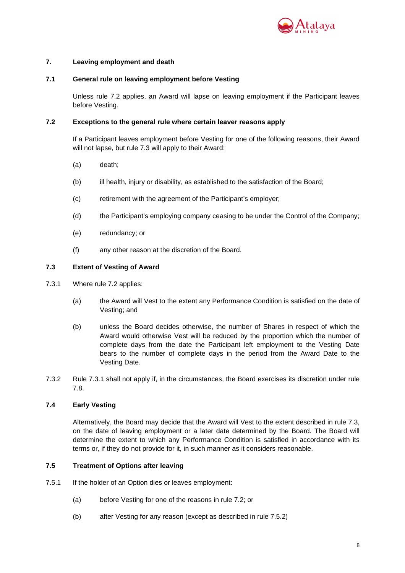

# **7. Leaving employment and death**

# **7.1 General rule on leaving employment before Vesting**

Unless rule 7.2 applies, an Award will lapse on leaving employment if the Participant leaves before Vesting.

## **7.2 Exceptions to the general rule where certain leaver reasons apply**

If a Participant leaves employment before Vesting for one of the following reasons, their Award will not lapse, but rule 7.3 will apply to their Award:

- (a) death;
- (b) ill health, injury or disability, as established to the satisfaction of the Board;
- (c) retirement with the agreement of the Participant's employer;
- (d) the Participant's employing company ceasing to be under the Control of the Company;
- (e) redundancy; or
- (f) any other reason at the discretion of the Board.

## **7.3 Extent of Vesting of Award**

- 7.3.1 Where rule 7.2 applies:
	- (a) the Award will Vest to the extent any Performance Condition is satisfied on the date of Vesting; and
	- (b) unless the Board decides otherwise, the number of Shares in respect of which the Award would otherwise Vest will be reduced by the proportion which the number of complete days from the date the Participant left employment to the Vesting Date bears to the number of complete days in the period from the Award Date to the Vesting Date.
- 7.3.2 Rule 7.3.1 shall not apply if, in the circumstances, the Board exercises its discretion under rule 7.8.

# **7.4 Early Vesting**

Alternatively, the Board may decide that the Award will Vest to the extent described in rule 7.3, on the date of leaving employment or a later date determined by the Board. The Board will determine the extent to which any Performance Condition is satisfied in accordance with its terms or, if they do not provide for it, in such manner as it considers reasonable.

# **7.5 Treatment of Options after leaving**

- 7.5.1 If the holder of an Option dies or leaves employment:
	- (a) before Vesting for one of the reasons in rule 7.2; or
	- (b) after Vesting for any reason (except as described in rule 7.5.2)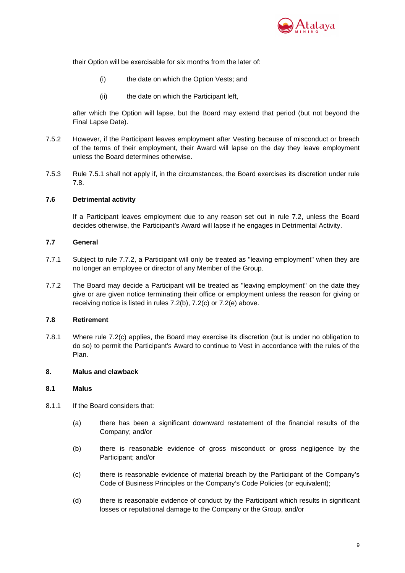

their Option will be exercisable for six months from the later of:

- (i) the date on which the Option Vests; and
- (ii) the date on which the Participant left,

after which the Option will lapse, but the Board may extend that period (but not beyond the Final Lapse Date).

- 7.5.2 However, if the Participant leaves employment after Vesting because of misconduct or breach of the terms of their employment, their Award will lapse on the day they leave employment unless the Board determines otherwise.
- 7.5.3 Rule 7.5.1 shall not apply if, in the circumstances, the Board exercises its discretion under rule 7.8.

# **7.6 Detrimental activity**

If a Participant leaves employment due to any reason set out in rule 7.2, unless the Board decides otherwise, the Participant's Award will lapse if he engages in Detrimental Activity.

# **7.7 General**

- 7.7.1 Subject to rule 7.7.2, a Participant will only be treated as "leaving employment" when they are no longer an employee or director of any Member of the Group.
- 7.7.2 The Board may decide a Participant will be treated as "leaving employment" on the date they give or are given notice terminating their office or employment unless the reason for giving or receiving notice is listed in rules 7.2(b), 7.2(c) or 7.2(e) above.

# **7.8 Retirement**

7.8.1 Where rule 7.2(c) applies, the Board may exercise its discretion (but is under no obligation to do so) to permit the Participant's Award to continue to Vest in accordance with the rules of the Plan.

# **8. Malus and clawback**

# **8.1 Malus**

- 8.1.1 If the Board considers that:
	- (a) there has been a significant downward restatement of the financial results of the Company; and/or
	- (b) there is reasonable evidence of gross misconduct or gross negligence by the Participant; and/or
	- (c) there is reasonable evidence of material breach by the Participant of the Company's Code of Business Principles or the Company's Code Policies (or equivalent);
	- (d) there is reasonable evidence of conduct by the Participant which results in significant losses or reputational damage to the Company or the Group, and/or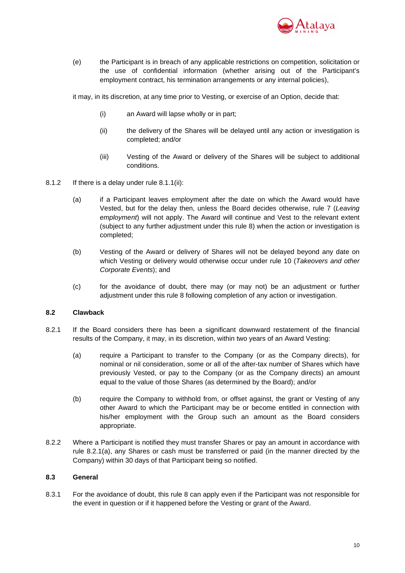

(e) the Participant is in breach of any applicable restrictions on competition, solicitation or the use of confidential information (whether arising out of the Participant's employment contract, his termination arrangements or any internal policies),

it may, in its discretion, at any time prior to Vesting, or exercise of an Option, decide that:

- (i) an Award will lapse wholly or in part;
- (ii) the delivery of the Shares will be delayed until any action or investigation is completed; and/or
- (iii) Vesting of the Award or delivery of the Shares will be subject to additional conditions.
- 8.1.2 If there is a delay under rule 8.1.1(ii):
	- (a) if a Participant leaves employment after the date on which the Award would have Vested, but for the delay then, unless the Board decides otherwise, rule 7 (Leaving employment) will not apply. The Award will continue and Vest to the relevant extent (subject to any further adjustment under this rule 8) when the action or investigation is completed;
	- (b) Vesting of the Award or delivery of Shares will not be delayed beyond any date on which Vesting or delivery would otherwise occur under rule 10 (Takeovers and other Corporate Events); and
	- (c) for the avoidance of doubt, there may (or may not) be an adjustment or further adjustment under this rule 8 following completion of any action or investigation.

### **8.2 Clawback**

- 8.2.1 If the Board considers there has been a significant downward restatement of the financial results of the Company, it may, in its discretion, within two years of an Award Vesting:
	- (a) require a Participant to transfer to the Company (or as the Company directs), for nominal or nil consideration, some or all of the after-tax number of Shares which have previously Vested, or pay to the Company (or as the Company directs) an amount equal to the value of those Shares (as determined by the Board); and/or
	- (b) require the Company to withhold from, or offset against, the grant or Vesting of any other Award to which the Participant may be or become entitled in connection with his/her employment with the Group such an amount as the Board considers appropriate.
- 8.2.2 Where a Participant is notified they must transfer Shares or pay an amount in accordance with rule 8.2.1(a), any Shares or cash must be transferred or paid (in the manner directed by the Company) within 30 days of that Participant being so notified.

# **8.3 General**

8.3.1 For the avoidance of doubt, this rule 8 can apply even if the Participant was not responsible for the event in question or if it happened before the Vesting or grant of the Award.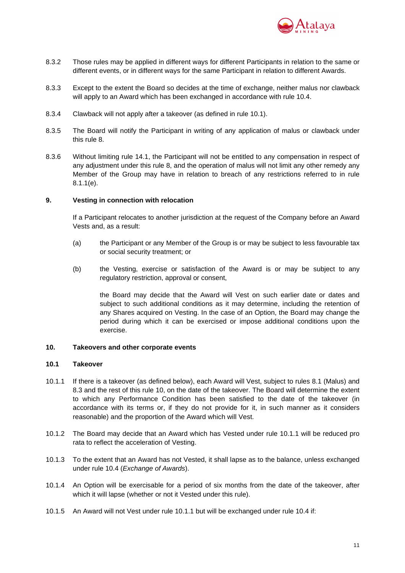

- 8.3.2 Those rules may be applied in different ways for different Participants in relation to the same or different events, or in different ways for the same Participant in relation to different Awards.
- 8.3.3 Except to the extent the Board so decides at the time of exchange, neither malus nor clawback will apply to an Award which has been exchanged in accordance with rule 10.4.
- 8.3.4 Clawback will not apply after a takeover (as defined in rule 10.1).
- 8.3.5 The Board will notify the Participant in writing of any application of malus or clawback under this rule 8.
- 8.3.6 Without limiting rule 14.1, the Participant will not be entitled to any compensation in respect of any adjustment under this rule 8, and the operation of malus will not limit any other remedy any Member of the Group may have in relation to breach of any restrictions referred to in rule 8.1.1(e).

## **9. Vesting in connection with relocation**

If a Participant relocates to another jurisdiction at the request of the Company before an Award Vests and, as a result:

- (a) the Participant or any Member of the Group is or may be subject to less favourable tax or social security treatment; or
- (b) the Vesting, exercise or satisfaction of the Award is or may be subject to any regulatory restriction, approval or consent,

the Board may decide that the Award will Vest on such earlier date or dates and subject to such additional conditions as it may determine, including the retention of any Shares acquired on Vesting. In the case of an Option, the Board may change the period during which it can be exercised or impose additional conditions upon the exercise.

## **10. Takeovers and other corporate events**

#### **10.1 Takeover**

- 10.1.1 If there is a takeover (as defined below), each Award will Vest, subject to rules 8.1 (Malus) and 8.3 and the rest of this rule 10, on the date of the takeover. The Board will determine the extent to which any Performance Condition has been satisfied to the date of the takeover (in accordance with its terms or, if they do not provide for it, in such manner as it considers reasonable) and the proportion of the Award which will Vest.
- 10.1.2 The Board may decide that an Award which has Vested under rule 10.1.1 will be reduced pro rata to reflect the acceleration of Vesting.
- 10.1.3 To the extent that an Award has not Vested, it shall lapse as to the balance, unless exchanged under rule 10.4 (Exchange of Awards).
- 10.1.4 An Option will be exercisable for a period of six months from the date of the takeover, after which it will lapse (whether or not it Vested under this rule).
- 10.1.5 An Award will not Vest under rule 10.1.1 but will be exchanged under rule 10.4 if: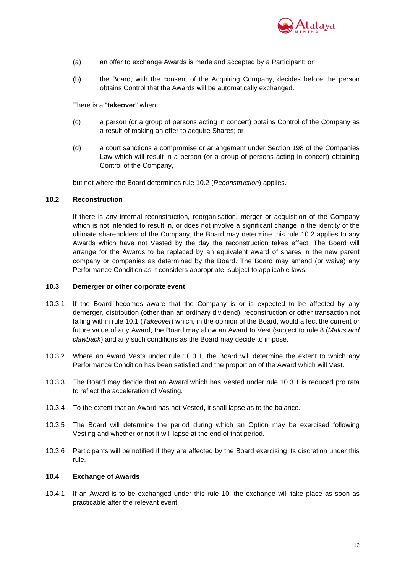

- (a) an offer to exchange Awards is made and accepted by a Participant; or
- (b) the Board, with the consent of the Acquiring Company, decides before the person obtains Control that the Awards will be automatically exchanged.

### There is a "**takeover**" when:

- (c) a person (or a group of persons acting in concert) obtains Control of the Company as a result of making an offer to acquire Shares; or
- (d) a court sanctions a compromise or arrangement under Section 198 of the Companies Law which will result in a person (or a group of persons acting in concert) obtaining Control of the Company,

but not where the Board determines rule 10.2 (Reconstruction) applies.

## **10.2 Reconstruction**

If there is any internal reconstruction, reorganisation, merger or acquisition of the Company which is not intended to result in, or does not involve a significant change in the identity of the ultimate shareholders of the Company, the Board may determine this rule 10.2 applies to any Awards which have not Vested by the day the reconstruction takes effect. The Board will arrange for the Awards to be replaced by an equivalent award of shares in the new parent company or companies as determined by the Board. The Board may amend (or waive) any Performance Condition as it considers appropriate, subject to applicable laws.

## **10.3 Demerger or other corporate event**

- 10.3.1 If the Board becomes aware that the Company is or is expected to be affected by any demerger, distribution (other than an ordinary dividend), reconstruction or other transaction not falling within rule 10.1 (Takeover) which, in the opinion of the Board, would affect the current or future value of any Award, the Board may allow an Award to Vest (subject to rule 8 (Malus and clawback) and any such conditions as the Board may decide to impose.
- 10.3.2 Where an Award Vests under rule 10.3.1, the Board will determine the extent to which any Performance Condition has been satisfied and the proportion of the Award which will Vest.
- 10.3.3 The Board may decide that an Award which has Vested under rule 10.3.1 is reduced pro rata to reflect the acceleration of Vesting.
- 10.3.4 To the extent that an Award has not Vested, it shall lapse as to the balance.
- 10.3.5 The Board will determine the period during which an Option may be exercised following Vesting and whether or not it will lapse at the end of that period.
- 10.3.6 Participants will be notified if they are affected by the Board exercising its discretion under this rule.

## **10.4 Exchange of Awards**

10.4.1 If an Award is to be exchanged under this rule 10, the exchange will take place as soon as practicable after the relevant event.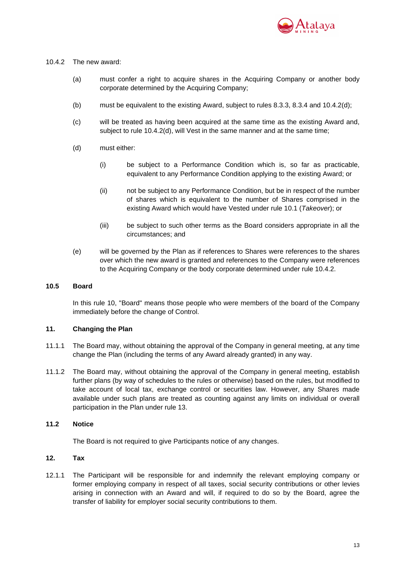

## 10.4.2 The new award:

- (a) must confer a right to acquire shares in the Acquiring Company or another body corporate determined by the Acquiring Company;
- (b) must be equivalent to the existing Award, subject to rules 8.3.3, 8.3.4 and 10.4.2(d);
- (c) will be treated as having been acquired at the same time as the existing Award and, subject to rule 10.4.2(d), will Vest in the same manner and at the same time;
- (d) must either:
	- (i) be subject to a Performance Condition which is, so far as practicable, equivalent to any Performance Condition applying to the existing Award; or
	- (ii) not be subject to any Performance Condition, but be in respect of the number of shares which is equivalent to the number of Shares comprised in the existing Award which would have Vested under rule 10.1 (Takeover); or
	- (iii) be subject to such other terms as the Board considers appropriate in all the circumstances; and
- (e) will be governed by the Plan as if references to Shares were references to the shares over which the new award is granted and references to the Company were references to the Acquiring Company or the body corporate determined under rule 10.4.2.

## **10.5 Board**

In this rule 10, "Board" means those people who were members of the board of the Company immediately before the change of Control.

# **11. Changing the Plan**

- 11.1.1 The Board may, without obtaining the approval of the Company in general meeting, at any time change the Plan (including the terms of any Award already granted) in any way.
- 11.1.2 The Board may, without obtaining the approval of the Company in general meeting, establish further plans (by way of schedules to the rules or otherwise) based on the rules, but modified to take account of local tax, exchange control or securities law. However, any Shares made available under such plans are treated as counting against any limits on individual or overall participation in the Plan under rule 13.

# **11.2 Notice**

The Board is not required to give Participants notice of any changes.

# **12. Tax**

12.1.1 The Participant will be responsible for and indemnify the relevant employing company or former employing company in respect of all taxes, social security contributions or other levies arising in connection with an Award and will, if required to do so by the Board, agree the transfer of liability for employer social security contributions to them.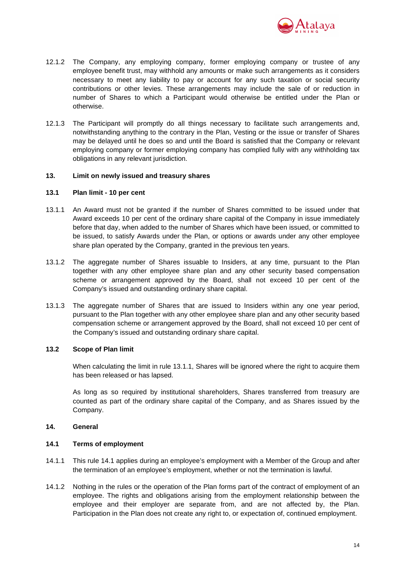

- 12.1.2 The Company, any employing company, former employing company or trustee of any employee benefit trust, may withhold any amounts or make such arrangements as it considers necessary to meet any liability to pay or account for any such taxation or social security contributions or other levies. These arrangements may include the sale of or reduction in number of Shares to which a Participant would otherwise be entitled under the Plan or otherwise.
- 12.1.3 The Participant will promptly do all things necessary to facilitate such arrangements and, notwithstanding anything to the contrary in the Plan, Vesting or the issue or transfer of Shares may be delayed until he does so and until the Board is satisfied that the Company or relevant employing company or former employing company has complied fully with any withholding tax obligations in any relevant jurisdiction.

## **13. Limit on newly issued and treasury shares**

#### **13.1 Plan limit - 10 per cent**

- 13.1.1 An Award must not be granted if the number of Shares committed to be issued under that Award exceeds 10 per cent of the ordinary share capital of the Company in issue immediately before that day, when added to the number of Shares which have been issued, or committed to be issued, to satisfy Awards under the Plan, or options or awards under any other employee share plan operated by the Company, granted in the previous ten years.
- 13.1.2 The aggregate number of Shares issuable to Insiders, at any time, pursuant to the Plan together with any other employee share plan and any other security based compensation scheme or arrangement approved by the Board, shall not exceed 10 per cent of the Company's issued and outstanding ordinary share capital.
- 13.1.3 The aggregate number of Shares that are issued to Insiders within any one year period, pursuant to the Plan together with any other employee share plan and any other security based compensation scheme or arrangement approved by the Board, shall not exceed 10 per cent of the Company's issued and outstanding ordinary share capital.

## **13.2 Scope of Plan limit**

When calculating the limit in rule 13.1.1, Shares will be ignored where the right to acquire them has been released or has lapsed.

As long as so required by institutional shareholders, Shares transferred from treasury are counted as part of the ordinary share capital of the Company, and as Shares issued by the Company.

#### **14. General**

## **14.1 Terms of employment**

- 14.1.1 This rule 14.1 applies during an employee's employment with a Member of the Group and after the termination of an employee's employment, whether or not the termination is lawful.
- 14.1.2 Nothing in the rules or the operation of the Plan forms part of the contract of employment of an employee. The rights and obligations arising from the employment relationship between the employee and their employer are separate from, and are not affected by, the Plan. Participation in the Plan does not create any right to, or expectation of, continued employment.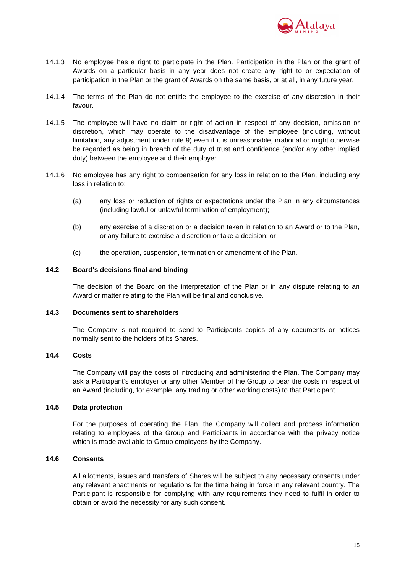

- 14.1.3 No employee has a right to participate in the Plan. Participation in the Plan or the grant of Awards on a particular basis in any year does not create any right to or expectation of participation in the Plan or the grant of Awards on the same basis, or at all, in any future year.
- 14.1.4 The terms of the Plan do not entitle the employee to the exercise of any discretion in their favour.
- 14.1.5 The employee will have no claim or right of action in respect of any decision, omission or discretion, which may operate to the disadvantage of the employee (including, without limitation, any adjustment under rule 9) even if it is unreasonable, irrational or might otherwise be regarded as being in breach of the duty of trust and confidence (and/or any other implied duty) between the employee and their employer.
- 14.1.6 No employee has any right to compensation for any loss in relation to the Plan, including any loss in relation to:
	- (a) any loss or reduction of rights or expectations under the Plan in any circumstances (including lawful or unlawful termination of employment);
	- (b) any exercise of a discretion or a decision taken in relation to an Award or to the Plan, or any failure to exercise a discretion or take a decision; or
	- (c) the operation, suspension, termination or amendment of the Plan.

## **14.2 Board's decisions final and binding**

The decision of the Board on the interpretation of the Plan or in any dispute relating to an Award or matter relating to the Plan will be final and conclusive.

## **14.3 Documents sent to shareholders**

The Company is not required to send to Participants copies of any documents or notices normally sent to the holders of its Shares.

#### **14.4 Costs**

The Company will pay the costs of introducing and administering the Plan. The Company may ask a Participant's employer or any other Member of the Group to bear the costs in respect of an Award (including, for example, any trading or other working costs) to that Participant.

## **14.5 Data protection**

For the purposes of operating the Plan, the Company will collect and process information relating to employees of the Group and Participants in accordance with the privacy notice which is made available to Group employees by the Company.

## **14.6 Consents**

All allotments, issues and transfers of Shares will be subject to any necessary consents under any relevant enactments or regulations for the time being in force in any relevant country. The Participant is responsible for complying with any requirements they need to fulfil in order to obtain or avoid the necessity for any such consent.